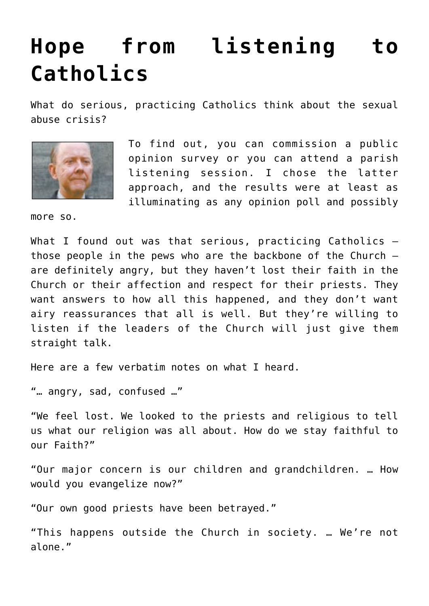## **[Hope from listening to](https://www.osvnews.com/2018/10/01/hope-from-listening-to-catholics/) [Catholics](https://www.osvnews.com/2018/10/01/hope-from-listening-to-catholics/)**

What do serious, practicing Catholics think about the sexual abuse crisis?



To find out, you can commission a public opinion survey or you can attend a parish listening session. I chose the latter approach, and the results were at least as illuminating as any opinion poll and possibly

more so.

What I found out was that serious, practicing Catholics those people in the pews who are the backbone of the Church are definitely angry, but they haven't lost their faith in the Church or their affection and respect for their priests. They want answers to how all this happened, and they don't want airy reassurances that all is well. But they're willing to listen if the leaders of the Church will just give them straight talk.

Here are a few verbatim notes on what I heard.

"… angry, sad, confused …"

"We feel lost. We looked to the priests and religious to tell us what our religion was all about. How do we stay faithful to our Faith?"

"Our major concern is our children and grandchildren. … How would you evangelize now?"

"Our own good priests have been betrayed."

"This happens outside the Church in society. … We're not alone."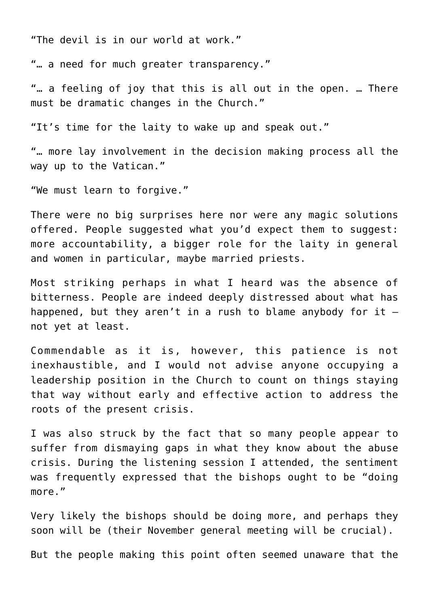"The devil is in our world at work."

"… a need for much greater transparency."

"… a feeling of joy that this is all out in the open. … There must be dramatic changes in the Church."

"It's time for the laity to wake up and speak out."

"… more lay involvement in the decision making process all the way up to the Vatican."

"We must learn to forgive."

There were no big surprises here nor were any magic solutions offered. People suggested what you'd expect them to suggest: more accountability, a bigger role for the laity in general and women in particular, maybe married priests.

Most striking perhaps in what I heard was the absence of bitterness. People are indeed deeply distressed about what has happened, but they aren't in a rush to blame anybody for it  $$ not yet at least.

Commendable as it is, however, this patience is not inexhaustible, and I would not advise anyone occupying a leadership position in the Church to count on things staying that way without early and effective action to address the roots of the present crisis.

I was also struck by the fact that so many people appear to suffer from dismaying gaps in what they know about the abuse crisis. During the listening session I attended, the sentiment was frequently expressed that the bishops ought to be "doing more."

Very likely the bishops should be doing more, and perhaps they soon will be (their November general meeting will be crucial).

But the people making this point often seemed unaware that the